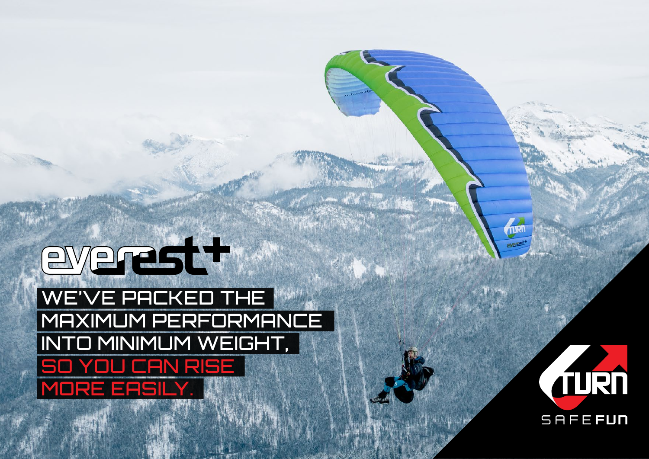## everest t

WE'VE PACKED THE **MAXIMUM PERFORMANCE** into minimum weight, so you can rise **1ORE EASILY.** 



TURIT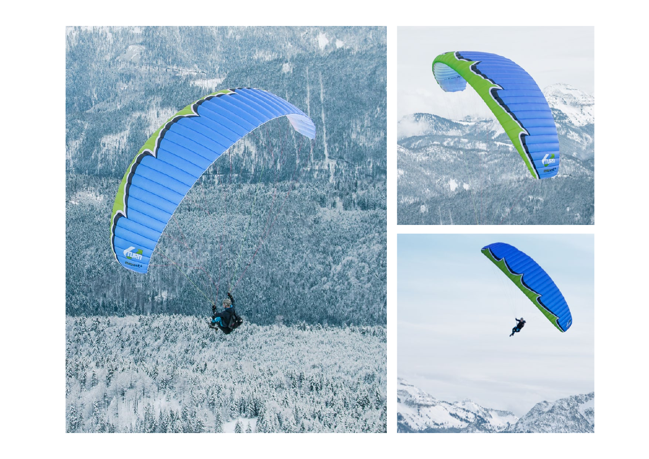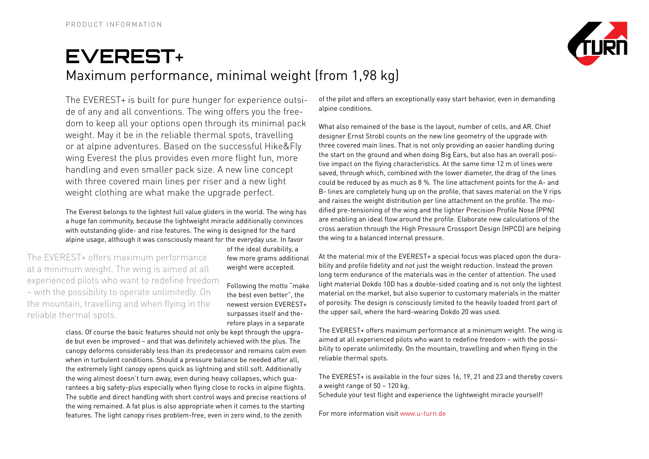## **EVEREST**+ Maximum performance, minimal weight (from 1,98 kg)



The EVEREST+ is built for pure hunger for experience outside of any and all conventions. The wing offers you the freedom to keep all your options open through its minimal pack weight. May it be in the reliable thermal spots, travelling or at alpine adventures. Based on the successful Hike&Fly wing Everest the plus provides even more flight fun, more handling and even smaller pack size. A new line concept with three covered main lines per riser and a new light weight clothing are what make the upgrade perfect.

The Everest belongs to the lightest full value gliders in the world. The wing has a huge fan community, because the lightweight miracle additionally convinces with outstanding glide- and rise features. The wing is designed for the hard alpine usage, although it was consciously meant for the everyday use. In favor

The EVEREST+ offers maximum performance at a minimum weight. The wing is aimed at all experienced pilots who want to redefine freedom – with the possibility to operate unlimitedly. On the mountain, travelling and when flying in the reliable thermal spots.

of the ideal durability, a few more grams additional weight were accepted.

Following the motto "make the best even better", the newest version EVEREST+ surpasses itself and therefore plays in a separate

class. Of course the basic features should not only be kept through the upgrade but even be improved – and that was definitely achieved with the plus. The canopy deforms considerably less than its predecessor and remains calm even when in turbulent conditions. Should a pressure balance be needed after all, the extremely light canopy opens quick as lightning and still soft. Additionally the wing almost doesn't turn away, even during heavy collapses, which guarantees a big safety-plus especially when flying close to rocks in alpine flights. The subtle and direct handling with short control ways and precise reactions of the wing remained. A fat plus is also appropriate when it comes to the starting features. The light canopy rises problem-free, even in zero wind, to the zenith

of the pilot and offers an exceptionally easy start behavior, even in demanding alpine conditions.

What also remained of the base is the layout, number of cells, and AR. Chief designer Ernst Strobl counts on the new line geometry of the upgrade with three covered main lines. That is not only providing an easier handling during the start on the ground and when doing Big Ears, but also has an overall positive impact on the flying characteristics. At the same time 12 m of lines were saved, through which, combined with the lower diameter, the drag of the lines could be reduced by as much as 8 %. The line attachment points for the A- and B- lines are completely hung up on the profile, that saves material on the V rips and raises the weight distribution per line attachment on the profile. The modified pre-tensioning of the wing and the lighter Precision Profile Nose (PPN) are enabling an ideal flow around the profile. Elaborate new calculations of the cross aeration through the High Pressure Crossport Design (HPCD) are helping the wing to a balanced internal pressure.

At the material mix of the EVEREST+ a special focus was placed upon the durability and profile fidelity and not just the weight reduction. Instead the proven long term endurance of the materials was in the center of attention. The used light material Dokdo 10D has a double-sided coating and is not only the lightest material on the market, but also superior to customary materials in the matter of porosity. The design is consciously limited to the heavily loaded front part of the upper sail, where the hard-wearing Dokdo 20 was used.

The EVEREST+ offers maximum performance at a minimum weight. The wing is aimed at all experienced pilots who want to redefine freedom – with the possibility to operate unlimitedly. On the mountain, travelling and when flying in the reliable thermal spots.

The EVEREST+ is available in the four sizes 16, 19, 21 and 23 and thereby covers a weight range of 50 – 120 kg.

Schedule your test flight and experience the lightweight miracle yourself!

For more information visit www.u-turn.de